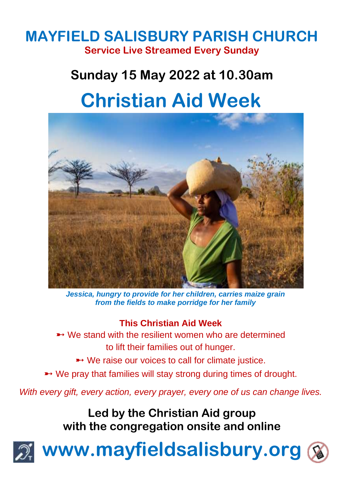# **MAYFIELD SALISBURY PARISH CHURCH Service Live Streamed Every Sunday**

# **Sunday 15 May 2022 at 10.30am**

# **Christian Aid Week**



*Jessica, hungry to provide for her children, carries maize grain from the fields to make porridge for her family*

### **This Christian Aid Week**

**► We stand with the resilient women who are determined** to lift their families out of hunger.

**► We raise our voices to call for climate justice.** 

**→** We pray that families will stay strong during times of drought.

*With every gift, every action, every prayer, every one of us can change lives.*

**Led by the Christian Aid group with the congregation onsite and online**



**WWW.mayfieldsalisbury.org** 

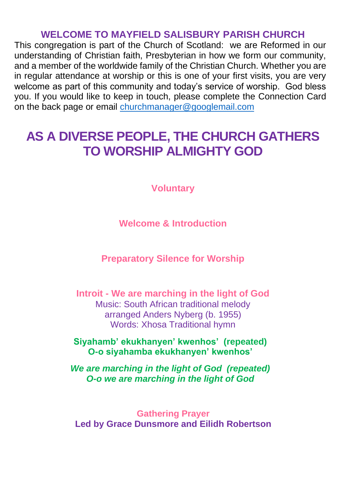### **WELCOME TO MAYFIELD SALISBURY PARISH CHURCH**

This congregation is part of the Church of Scotland: we are Reformed in our understanding of Christian faith, Presbyterian in how we form our community, and a member of the worldwide family of the Christian Church. Whether you are in regular attendance at worship or this is one of your first visits, you are very welcome as part of this community and today's service of worship. God bless you. If you would like to keep in touch, please complete the Connection Card on the back page or email [churchmanager@googlemail.com](mailto:churchmanager@googlemail.com)

# **AS A DIVERSE PEOPLE, THE CHURCH GATHERS TO WORSHIP ALMIGHTY GOD**

**Voluntary**

**Welcome & Introduction**

**Preparatory Silence for Worship**

**Introit - We are marching in the light of God** Music: South African traditional melody arranged Anders Nyberg (b. 1955) Words: Xhosa Traditional hymn

**Siyahamb' ekukhanyen' kwenhos' (repeated) O-o siyahamba ekukhanyen' kwenhos'**

*We are marching in the light of God (repeated) O-o we are marching in the light of God*

**Gathering Prayer Led by Grace Dunsmore and Eilidh Robertson**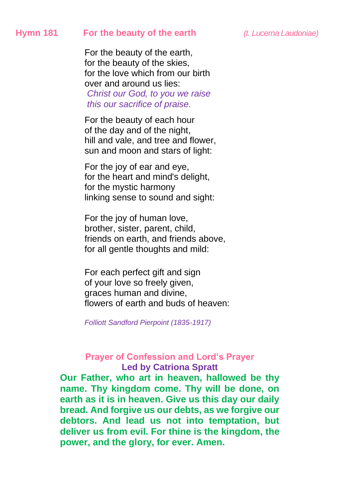### **Hymn 181 For the beauty of the earth** *(t. Lucerna Laudoniae)*

For the beauty of the earth, for the beauty of the skies, for the love which from our birth over and around us lies: *Christ our God, to you we raise this our sacrifice of praise.*

For the beauty of each hour of the day and of the night, hill and vale, and tree and flower, sun and moon and stars of light:

For the joy of ear and eye, for the heart and mind's delight, for the mystic harmony linking sense to sound and sight:

For the joy of human love, brother, sister, parent, child, friends on earth, and friends above, for all gentle thoughts and mild:

For each perfect gift and sign of your love so freely given, graces human and divine, flowers of earth and buds of heaven:

*Folliott Sandford Pierpoint (1835-1917)*

### **Prayer of Confession and Lord's Prayer Led by Catriona Spratt**

**Our Father, who art in heaven, hallowed be thy name. Thy kingdom come. Thy will be done, on earth as it is in heaven. Give us this day our daily bread. And forgive us our debts, as we forgive our debtors. And lead us not into temptation, but deliver us from evil. For thine is the kingdom, the power, and the glory, for ever. Amen.**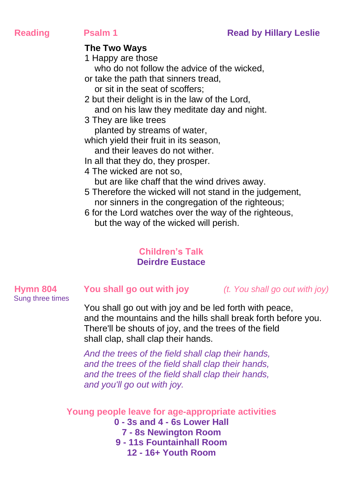### **The Two Ways**

- 1 Happy are those who do not follow the advice of the wicked. or take the path that sinners tread,
- or sit in the seat of scoffers;
- 2 but their delight is in the law of the Lord, and on his law they meditate day and night.
- 3 They are like trees
	- planted by streams of water,

which vield their fruit in its season.

and their leaves do not wither.

In all that they do, they prosper.

4 The wicked are not so,

but are like chaff that the wind drives away.

- 5 Therefore the wicked will not stand in the judgement, nor sinners in the congregation of the righteous;
- 6 for the Lord watches over the way of the righteous, but the way of the wicked will perish.

### **Children's Talk Deirdre Eustace**

Sung three times

**Hymn 804 You shall go out with joy** *(t. You shall go out with joy)*

You shall go out with joy and be led forth with peace, and the mountains and the hills shall break forth before you. There'll be shouts of joy, and the trees of the field shall clap, shall clap their hands.

*And the trees of the field shall clap their hands, and the trees of the field shall clap their hands, and the trees of the field shall clap their hands, and you'll go out with joy.*

**Young people leave for age-appropriate activities 0 - 3s and 4 - 6s Lower Hall 7 - 8s Newington Room 9 - 11s Fountainhall Room 12 - 16+ Youth Room**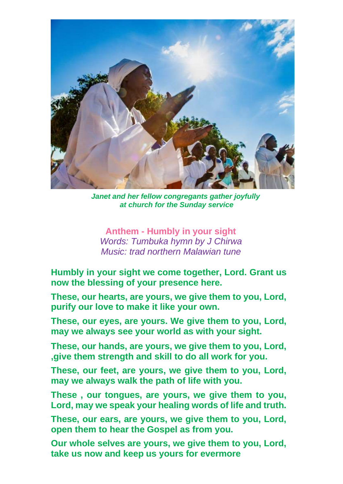

*Janet and her fellow congregants gather joyfully at church for the Sunday service*

**Anthem - Humbly in your sight** *Words: Tumbuka hymn by J Chirwa Music: trad northern Malawian tune*

**Humbly in your sight we come together, Lord. Grant us now the blessing of your presence here.**

**These, our hearts, are yours, we give them to you, Lord, purify our love to make it like your own.**

**These, our eyes, are yours. We give them to you, Lord, may we always see your world as with your sight.**

**These, our hands, are yours, we give them to you, Lord, ,give them strength and skill to do all work for you.**

**These, our feet, are yours, we give them to you, Lord, may we always walk the path of life with you.**

**These , our tongues, are yours, we give them to you, Lord, may we speak your healing words of life and truth.**

**These, our ears, are yours, we give them to you, Lord, open them to hear the Gospel as from you.**

**Our whole selves are yours, we give them to you, Lord, take us now and keep us yours for evermore**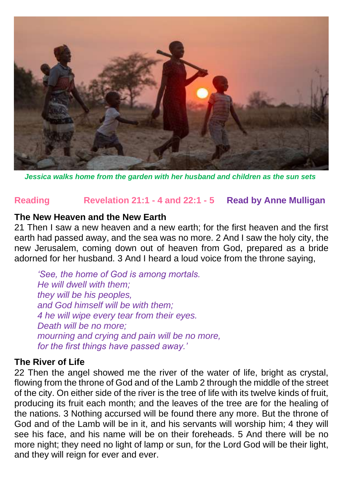

*Jessica walks home from the garden with her husband and children as the sun sets*

### **Reading Revelation 21:1 - 4 and 22:1 - 5 Read by Anne Mulligan**

### **The New Heaven and the New Earth**

21 Then I saw a new heaven and a new earth; for the first heaven and the first earth had passed away, and the sea was no more. 2 And I saw the holy city, the new Jerusalem, coming down out of heaven from God, prepared as a bride adorned for her husband. 3 And I heard a loud voice from the throne saying,

*'See, the home of God is among mortals. He will dwell with them; they will be his peoples, and God himself will be with them; 4 he will wipe every tear from their eyes. Death will be no more; mourning and crying and pain will be no more, for the first things have passed away.'*

### **The River of Life**

22 Then the angel showed me the river of the water of life, bright as crystal, flowing from the throne of God and of the Lamb 2 through the middle of the street of the city. On either side of the river is the tree of life with its twelve kinds of fruit, producing its fruit each month; and the leaves of the tree are for the healing of the nations. 3 Nothing accursed will be found there any more. But the throne of God and of the Lamb will be in it, and his servants will worship him; 4 they will see his face, and his name will be on their foreheads. 5 And there will be no more night; they need no light of lamp or sun, for the Lord God will be their light, and they will reign for ever and ever.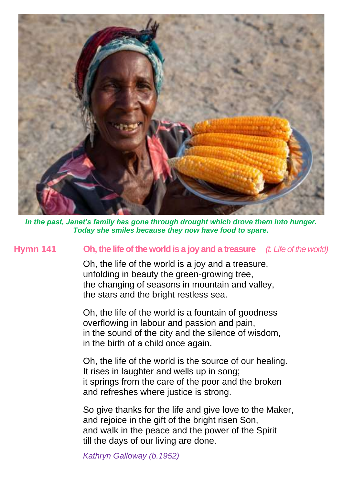

*In the past, Janet's family has gone through drought which drove them into hunger. Today she smiles because they now have food to spare.*

### **Hymn 141 Oh, the life of the world is a joy and a treasure** *(t. Life of the world)*

Oh, the life of the world is a joy and a treasure, unfolding in beauty the green-growing tree, the changing of seasons in mountain and valley, the stars and the bright restless sea.

Oh, the life of the world is a fountain of goodness overflowing in labour and passion and pain, in the sound of the city and the silence of wisdom, in the birth of a child once again.

Oh, the life of the world is the source of our healing. It rises in laughter and wells up in song; it springs from the care of the poor and the broken and refreshes where justice is strong.

So give thanks for the life and give love to the Maker, and rejoice in the gift of the bright risen Son, and walk in the peace and the power of the Spirit till the days of our living are done.

*Kathryn Galloway (b.1952)*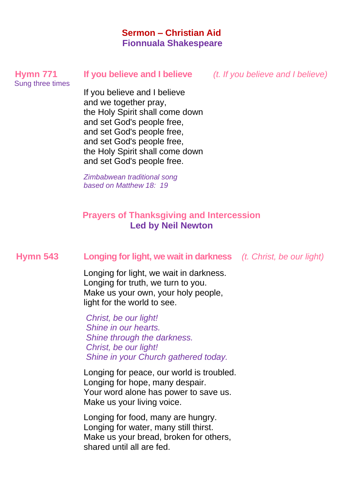### **Sermon – Christian Aid Fionnuala Shakespeare**

Sung three times

**Hymn 771 If you believe and I believe** *(t. If you believe and I believe)*

If you believe and I believe and we together pray, the Holy Spirit shall come down and set God's people free, and set God's people free, and set God's people free, the Holy Spirit shall come down and set God's people free.

*Zimbabwean traditional song based on Matthew 18: 19*

### **Prayers of Thanksgiving and Intercession Led by Neil Newton**

### **Hymn 543 Longing for light, we wait in darkness** *(t. Christ, be our light)*

Longing for light, we wait in darkness. Longing for truth, we turn to you. Make us your own, your holy people, light for the world to see.

*Christ, be our light! Shine in our hearts. Shine through the darkness. Christ, be our light! Shine in your Church gathered today.*

Longing for peace, our world is troubled. Longing for hope, many despair. Your word alone has power to save us. Make us your living voice.

Longing for food, many are hungry. Longing for water, many still thirst. Make us your bread, broken for others, shared until all are fed.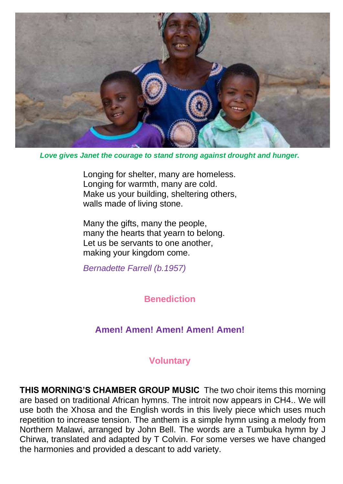

*Love gives Janet the courage to stand strong against drought and hunger.*

Longing for shelter, many are homeless. Longing for warmth, many are cold. Make us your building, sheltering others, walls made of living stone.

Many the gifts, many the people, many the hearts that yearn to belong. Let us be servants to one another, making your kingdom come.

*Bernadette Farrell (b.1957)*

**Benediction**

### **Amen! Amen! Amen! Amen! Amen!**

### **Voluntary**

**THIS MORNING'S CHAMBER GROUP MUSIC** The two choir items this morning are based on traditional African hymns. The introit now appears in CH4.. We will use both the Xhosa and the English words in this lively piece which uses much repetition to increase tension. The anthem is a simple hymn using a melody from Northern Malawi, arranged by John Bell. The words are a Tumbuka hymn by J Chirwa, translated and adapted by T Colvin. For some verses we have changed the harmonies and provided a descant to add variety.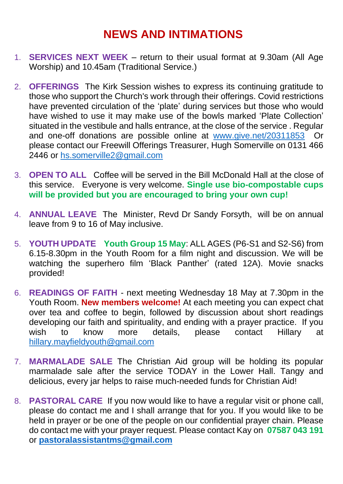## **NEWS AND INTIMATIONS**

- 1. **SERVICES NEXT WEEK** return to their usual format at 9.30am (All Age Worship) and 10.45am (Traditional Service.)
- 2. **OFFERINGS** The Kirk Session wishes to express its continuing gratitude to those who support the Church's work through their offerings. Covid restrictions have prevented circulation of the 'plate' during services but those who would have wished to use it may make use of the bowls marked 'Plate Collection' situated in the vestibule and halls entrance, at the close of the service . Regular and one-off donations are possible online at [www.give.net/20311853](http://www.give.net/20311853) Or please contact our Freewill Offerings Treasurer, Hugh Somerville on 0131 466 2446 or [hs.somerville2@gmail.com](mailto:hs.somerville2@gmail.com)
- 3. **OPEN TO ALL** Coffee will be served in the Bill McDonald Hall at the close of this service. Everyone is very welcome. **Single use bio-compostable cups will be provided but you are encouraged to bring your own cup!**
- 4. **ANNUAL LEAVE** The Minister, Revd Dr Sandy Forsyth, will be on annual leave from 9 to 16 of May inclusive.
- 5. **YOUTH UPDATE Youth Group 15 May**: ALL AGES (P6-S1 and S2-S6) from 6.15-8.30pm in the Youth Room for a film night and discussion. We will be watching the superhero film 'Black Panther' (rated 12A). Movie snacks provided!
- 6. **READINGS OF FAITH** next meeting Wednesday 18 May at 7.30pm in the Youth Room. **New members welcome!** At each meeting you can expect chat over tea and coffee to begin, followed by discussion about short readings developing our faith and spirituality, and ending with a prayer practice. If you wish to know more details, please contact Hillary at [hillary.mayfieldyouth@gmail.com](mailto:hillary.mayfieldyouth@gmail.com)
- 7. **MARMALADE SALE** The Christian Aid group will be holding its popular marmalade sale after the service TODAY in the Lower Hall. Tangy and delicious, every jar helps to raise much-needed funds for Christian Aid!
- 8. **PASTORAL CARE** If you now would like to have a regular visit or phone call, please do contact me and I shall arrange that for you. If you would like to be held in prayer or be one of the people on our confidential prayer chain. Please do contact me with your prayer request. Please contact Kay on **07587 043 191** or **[pastoralassistantms@gmail.com](mailto:pastoralassistantms@gmail.com)**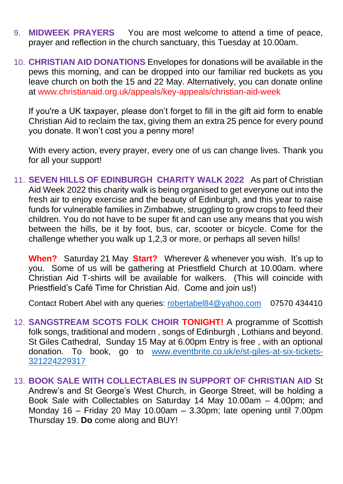- 9. **MIDWEEK PRAYERS** You are most welcome to attend a time of peace, prayer and reflection in the church sanctuary, this Tuesday at 10.00am.
- 10. **CHRISTIAN AID DONATIONS** Envelopes for donations will be available in the pews this morning, and can be dropped into our familiar red buckets as you leave church on both the 15 and 22 May. Alternatively, you can donate online at [www.christianaid.org.uk/appeals/key-appeals/christian-aid-week](http://www.christianaid.org.uk/appeals/key-appeals/christian-aid-week)

If you're a UK taxpayer, please don't forget to fill in the gift aid form to enable Christian Aid to reclaim the tax, giving them an extra 25 pence for every pound you donate. It won't cost you a penny more!

With every action, every prayer, every one of us can change lives. Thank you for all your support!

11. **SEVEN HILLS OF EDINBURGH CHARITY WALK 2022** As part of Christian Aid Week 2022 this charity walk is being organised to get everyone out into the fresh air to enjoy exercise and the beauty of Edinburgh, and this year to raise funds for vulnerable families in Zimbabwe, struggling to grow crops to feed their children. You do not have to be super fit and can use any means that you wish between the hills, be it by foot, bus, car, scooter or bicycle. Come for the challenge whether you walk up 1,2,3 or more, or perhaps all seven hills!

**When?** Saturday 21 May **Start?** Wherever & whenever you wish. It's up to you. Some of us will be gathering at Priestfield Church at 10.00am. where Christian Aid T-shirts will be available for walkers. (This will coincide with Priestfield's Café Time for Christian Aid. Come and join us!)

Contact Robert Abel with any queries: [robertabel84@yahoo.com](mailto:robertabel84@yahoo.com) 07570 434410

- 12. **SANGSTREAM SCOTS FOLK CHOIR TONIGHT!** A programme of Scottish folk songs, traditional and modern , songs of Edinburgh , Lothians and beyond. St Giles Cathedral, Sunday 15 May at 6.00pm Entry is free , with an optional donation. To book, go to [www.eventbrite.co.uk/e/st-giles-at-six-tickets-](http://www.eventbrite.co.uk/e/st-giles-at-six-tickets-321224229317)[321224229317](http://www.eventbrite.co.uk/e/st-giles-at-six-tickets-321224229317)
- 13. **BOOK SALE WITH COLLECTABLES IN SUPPORT OF CHRISTIAN AID** St Andrew's and St George's West Church, in George Street, will be holding a Book Sale with Collectables on Saturday 14 May 10.00am – 4.00pm; and Monday 16 – Friday 20 May 10.00am – 3.30pm; late opening until 7.00pm Thursday 19. **Do** come along and BUY!